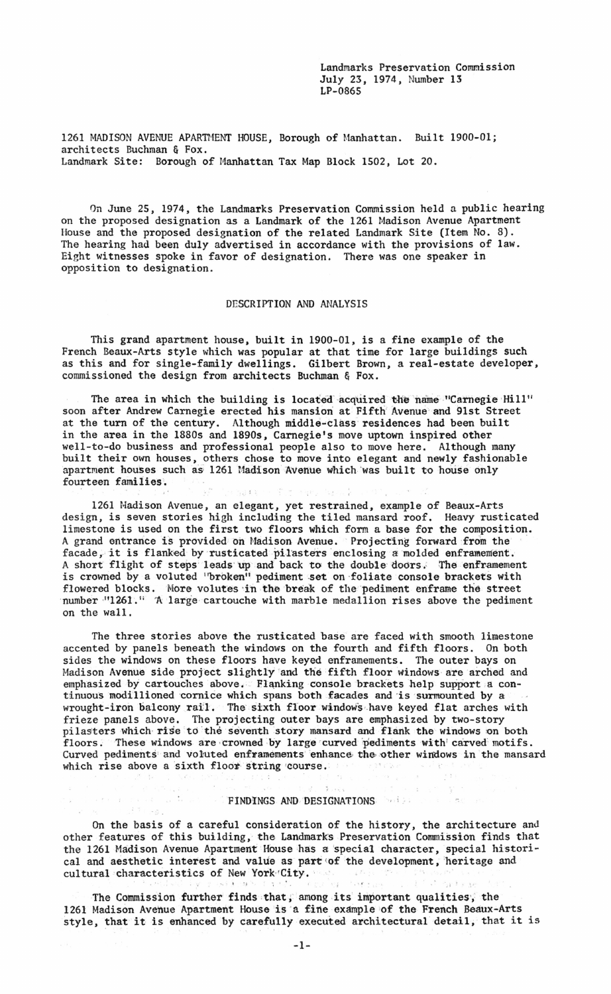Landmarks Preservation Commission July 23, 1974, Number 13 LP-0865

1261 MADISON AVENUE APARTMENT HOUSE, Borough of Manhattan. Built 1900-01; architects Buchman & Fox. Landmark Site: Borough of Manhattan Tax Map Block 1502, Lot 20.

On June 25, 1974, the Landmarks Preservation Commission held a public hearing on the proposed designation as a Landmark of the 1261 Madison Avenue Apartment House and the proposed designation of the related Landmark Site (Item No. 8). The hearing had been duly advertised in accordance with the provisions of law. Eight witnesses spoke in favor of designation. There was one speaker in opposition to designation.

## DESCRIPTION AND ANALYSIS

This grand apartment house, built in 1900-01, is a fine example of the French Beaux-Arts style which was popular at that time for large buildings such as this and for single-family dwellings. Gilbert Brown, a real-estate developer, commissioned the design from architects Buchman & Fox.

The area in which the building is located acquired the name "Carnegie Hill" soon after Andrew Carnegie erected his mansion at Fifth' Avenue' and 9lst Street at the turn of the century. Although middle-class residences had been built in the area in the 1880s and 1890s, Carnegie's move uptown inspired other well-to-do business and professional people also to move here. Although many built their own houses, others chose to move into elegant and newly fashionable apartment houses such as 1261 Madison Avenue which was built to house only fourteen families.

1261 Madison Avenue, an elegant, yet restrained, example of Beaux-Arts design, is seven stories high including the tiled mansard roof. Heavy rusticated limestone is used on the first two floors which form a base for the composition. A grand entrance is provided on Madison Avenue. Projecting forward from the facade, it is flanked by rusticated pilasters enclosing a molded enframement. A short flight of steps leads up and back to the double doors. The enframement is crowned by a voluted "broken" pediment set on foliate console brackets with flowered blocks. More volutes in the break of the pediment enframe the street number  $\cdot$ "1261. In A:. large-cartouche with marble medallion rises above the pediment on the wall.

The three stories above the rusticated base are faced with smooth limestone accented by panels beneath the windows on the fourth and fifth floors. On both sides the windows on these floors have keyed enframements. The outer bays on Madison Avenue side project slightly and the fifth floor windows are arched and emphasized by cartouches above. Flanking console brackets help support a continuous modillioned cornice which spans both facades and is surmounted by a wrought-iron balcony rail. The sixth floor windows have keyed flat arches with frieze panels above. The projecting outer bays are emphasized by two-story pilasters which rise to the seventh story mansard and flank the windows on both floors. These windows are crowned by large curved pediments with carved motifs. Curved pediments and voluted enframements enhance the other windows in the mansard which rise above a sixth floor string course.

## **FINDINGS AND DESIGNATIONS**

e ge

 $\mathcal{L}$  . The set of

 $\left\langle \left\langle \Phi_{\pm} \right\rangle \right\rangle \otimes \left\langle \Phi_{\pm} \right\rangle$ 

On the basis of a careful consideration of the history, the architecture and other features of this building, the Landmarks Preservation Commission finds that the 1261 Madison Avenue Apartment House has a special character, special historical and aesthetic interest and value as part of the development, heritage and cultural characteristics of New York'City.

The Commission further finds that, among its important qualities, the 1261 Madison Avenue Apartment House is a fine example of the French Beaux-Arts style, that it is enhanced by carefully executed architectural detail, that it is